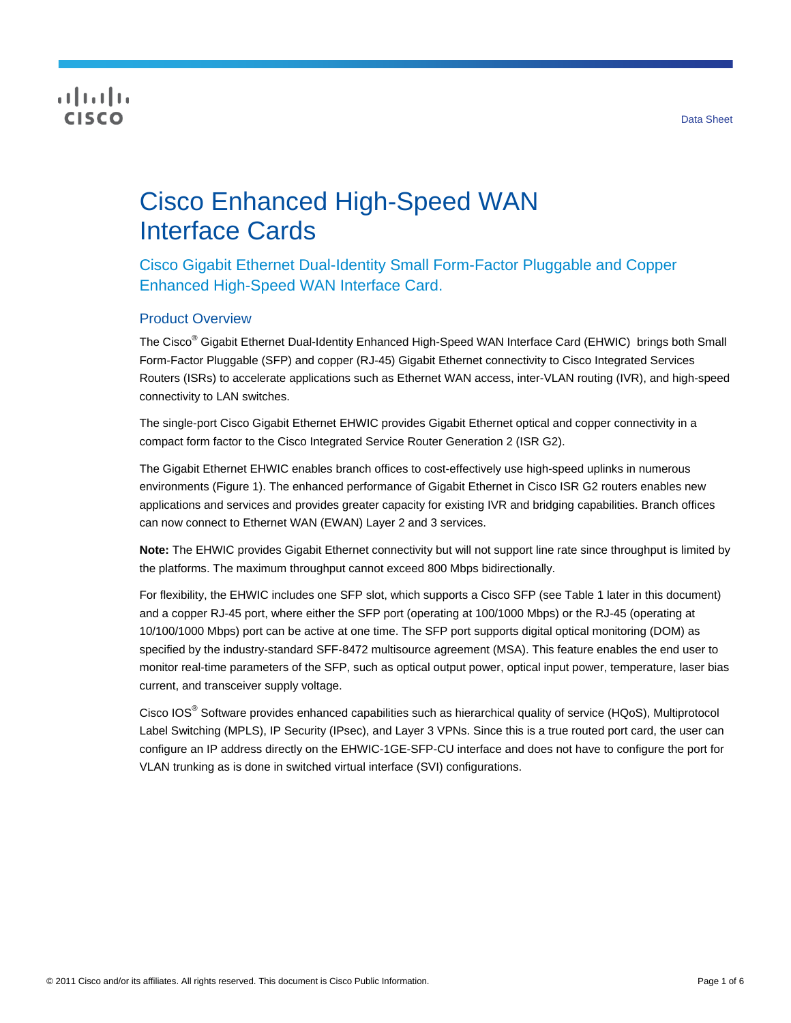# **CISCO**

# Cisco Enhanced High-Speed WAN Interface Cards

Cisco Gigabit Ethernet Dual-Identity Small Form-Factor Pluggable and Copper Enhanced High-Speed WAN Interface Card.

# Product Overview

The Cisco<sup>®</sup> Gigabit Ethernet Dual-Identity Enhanced High-Speed WAN Interface Card (EHWIC) brings both Small Form-Factor Pluggable (SFP) and copper (RJ-45) Gigabit Ethernet connectivity to Cisco Integrated Services Routers (ISRs) to accelerate applications such as Ethernet WAN access, inter-VLAN routing (IVR), and high-speed connectivity to LAN switches.

The single-port Cisco Gigabit Ethernet EHWIC provides Gigabit Ethernet optical and copper connectivity in a compact form factor to the Cisco Integrated Service Router Generation 2 (ISR G2).

The Gigabit Ethernet EHWIC enables branch offices to cost-effectively use high-speed uplinks in numerous environments (Figure 1). The enhanced performance of Gigabit Ethernet in Cisco ISR G2 routers enables new applications and services and provides greater capacity for existing IVR and bridging capabilities. Branch offices can now connect to Ethernet WAN (EWAN) Layer 2 and 3 services.

**Note:** The EHWIC provides Gigabit Ethernet connectivity but will not support line rate since throughput is limited by the platforms. The maximum throughput cannot exceed 800 Mbps bidirectionally.

For flexibility, the EHWIC includes one SFP slot, which supports a Cisco SFP (see Table 1 later in this document) and a copper RJ-45 port, where either the SFP port (operating at 100/1000 Mbps) or the RJ-45 (operating at 10/100/1000 Mbps) port can be active at one time. The SFP port supports digital optical monitoring (DOM) as specified by the industry-standard SFF-8472 multisource agreement (MSA). This feature enables the end user to monitor real-time parameters of the SFP, such as optical output power, optical input power, temperature, laser bias current, and transceiver supply voltage.

Cisco IOS® Software provides enhanced capabilities such as hierarchical quality of service (HQoS), Multiprotocol Label Switching (MPLS), IP Security (IPsec), and Layer 3 VPNs. Since this is a true routed port card, the user can configure an IP address directly on the EHWIC-1GE-SFP-CU interface and does not have to configure the port for VLAN trunking as is done in switched virtual interface (SVI) configurations.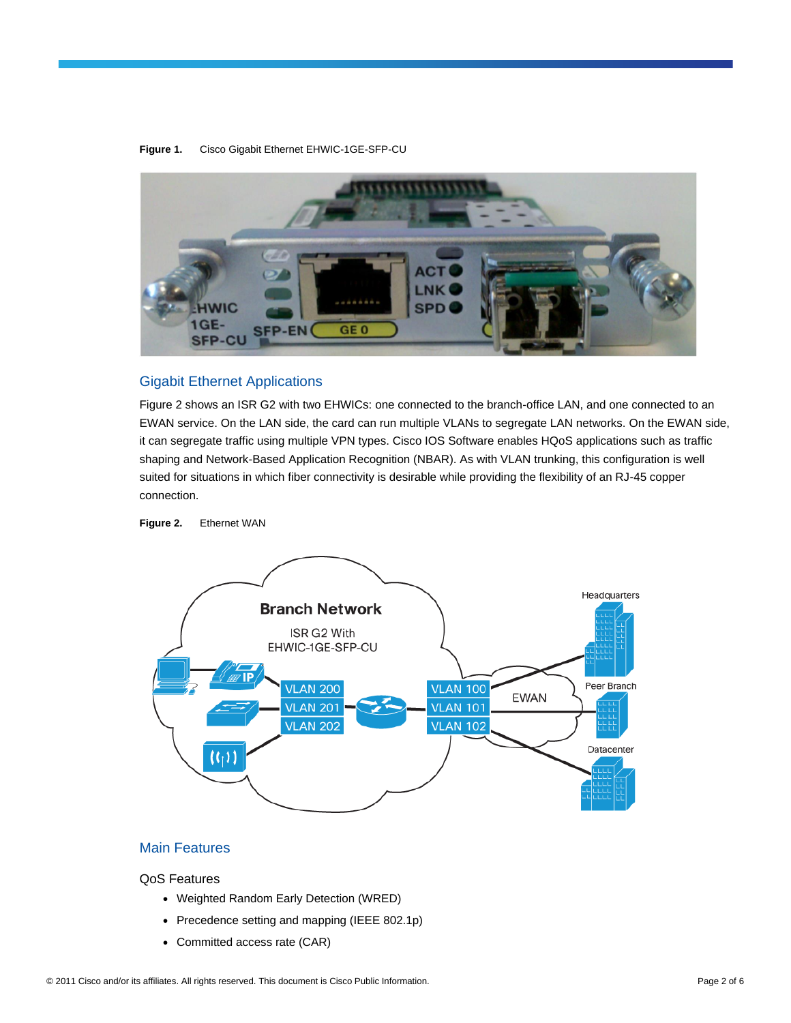

#### **Figure 1.** Cisco Gigabit Ethernet EHWIC-1GE-SFP-CU

### Gigabit Ethernet Applications

Figure 2 shows an ISR G2 with two EHWICs: one connected to the branch-office LAN, and one connected to an EWAN service. On the LAN side, the card can run multiple VLANs to segregate LAN networks. On the EWAN side, it can segregate traffic using multiple VPN types. Cisco IOS Software enables HQoS applications such as traffic shaping and Network-Based Application Recognition (NBAR). As with VLAN trunking, this configuration is well suited for situations in which fiber connectivity is desirable while providing the flexibility of an RJ-45 copper connection.

**Figure 2.** Ethernet WAN



# Main Features

#### QoS Features

- Weighted Random Early Detection (WRED)
- Precedence setting and mapping (IEEE 802.1p)
- Committed access rate (CAR)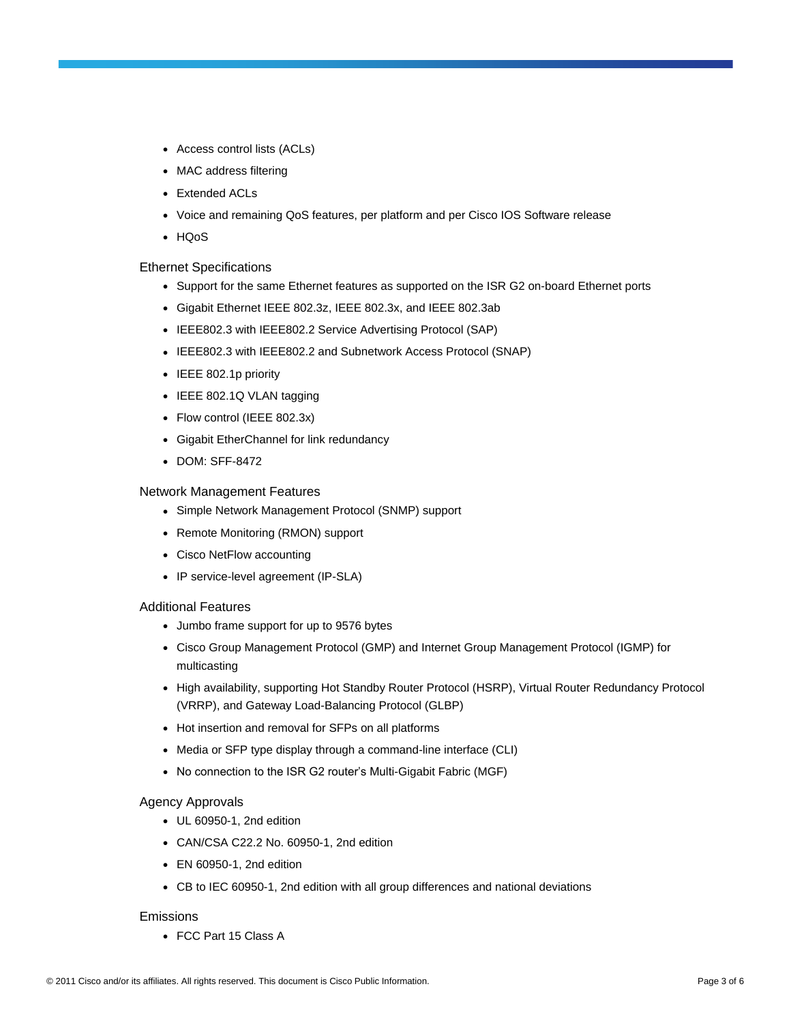- Access control lists (ACLs)
- MAC address filtering
- Extended ACLs
- Voice and remaining QoS features, per platform and per Cisco IOS Software release
- HQoS

#### Ethernet Specifications

- Support for the same Ethernet features as supported on the ISR G2 on-board Ethernet ports
- Gigabit Ethernet IEEE 802.3z, IEEE 802.3x, and IEEE 802.3ab
- IEEE802.3 with IEEE802.2 Service Advertising Protocol (SAP)
- IEEE802.3 with IEEE802.2 and Subnetwork Access Protocol (SNAP)
- IEEE 802.1p priority
- IEEE 802.1Q VLAN tagging
- Flow control (IEEE 802.3x)
- Gigabit EtherChannel for link redundancy
- DOM: SFF-8472

#### Network Management Features

- Simple Network Management Protocol (SNMP) support
- Remote Monitoring (RMON) support
- Cisco NetFlow accounting
- IP service-level agreement (IP-SLA)

#### Additional Features

- Jumbo frame support for up to 9576 bytes
- Cisco Group Management Protocol (GMP) and Internet Group Management Protocol (IGMP) for multicasting
- High availability, supporting Hot Standby Router Protocol (HSRP), Virtual Router Redundancy Protocol (VRRP), and Gateway Load-Balancing Protocol (GLBP)
- Hot insertion and removal for SFPs on all platforms
- Media or SFP type display through a command-line interface (CLI)
- No connection to the ISR G2 router's Multi-Gigabit Fabric (MGF)

#### Agency Approvals

- UL 60950-1, 2nd edition
- $\bullet$  CAN/CSA C22.2 No. 60950-1, 2nd edition
- $\bullet$  EN 60950-1, 2nd edition
- CB to IEC 60950-1, 2nd edition with all group differences and national deviations

#### Emissions

● FCC Part 15 Class A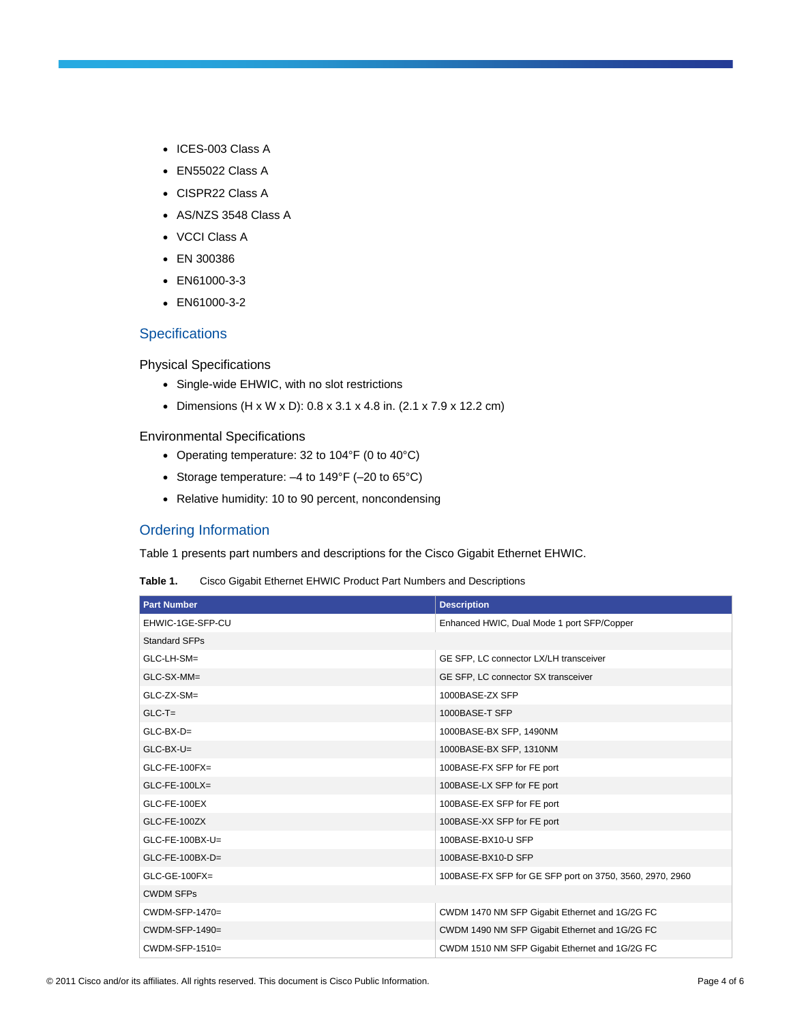- ICES-003 Class A
- EN55022 Class A
- CISPR22 Class A
- AS/NZS 3548 Class A
- VCCI Class A
- EN 300386
- EN61000-3-3
- EN61000-3-2

# **Specifications**

Physical Specifications

- Single-wide EHWIC, with no slot restrictions
- Dimensions  $(H \times W \times D)$ : 0.8 x 3.1 x 4.8 in. (2.1 x 7.9 x 12.2 cm)

#### Environmental Specifications

- Operating temperature: 32 to 104°F (0 to 40°C)
- Storage temperature:  $-4$  to 149°F ( $-20$  to 65°C)
- Relative humidity: 10 to 90 percent, noncondensing

# Ordering Information

Table 1 presents part numbers and descriptions for the Cisco Gigabit Ethernet EHWIC.

| Table 1. | Cisco Gigabit Ethernet EHWIC Product Part Numbers and Descriptions |  |
|----------|--------------------------------------------------------------------|--|
|----------|--------------------------------------------------------------------|--|

| <b>Part Number</b>   | <b>Description</b>                                       |
|----------------------|----------------------------------------------------------|
| EHWIC-1GE-SFP-CU     | Enhanced HWIC, Dual Mode 1 port SFP/Copper               |
| <b>Standard SFPs</b> |                                                          |
| GLC-LH-SM=           | GE SFP, LC connector LX/LH transceiver                   |
| GLC-SX-MM=           | GE SFP, LC connector SX transceiver                      |
| GLC-ZX-SM=           | 1000BASE-ZX SFP                                          |
| $GLC-T=$             | 1000BASE-T SFP                                           |
| $GLC-BX-D=$          | 1000BASE-BX SFP, 1490NM                                  |
| $GLC-BX-U=$          | 1000BASE-BX SFP, 1310NM                                  |
| $GLC$ -FE-100FX=     | 100BASE-FX SFP for FE port                               |
| $GLC$ -FE-100LX=     | 100BASE-LX SFP for FE port                               |
| GLC-FE-100EX         | 100BASE-EX SFP for FE port                               |
| GLC-FE-100ZX         | 100BASE-XX SFP for FE port                               |
| GLC-FE-100BX-U=      | 100BASE-BX10-U SFP                                       |
| $GLC$ -FE-100BX-D=   | 100BASE-BX10-D SFP                                       |
| $GLC$ -GE-100 $FX =$ | 100BASE-FX SFP for GE SFP port on 3750, 3560, 2970, 2960 |
| <b>CWDM SFPs</b>     |                                                          |
| CWDM-SFP-1470=       | CWDM 1470 NM SFP Gigabit Ethernet and 1G/2G FC           |
| CWDM-SFP-1490=       | CWDM 1490 NM SFP Gigabit Ethernet and 1G/2G FC           |
| $CWDM-SFP-1510=$     | CWDM 1510 NM SFP Gigabit Ethernet and 1G/2G FC           |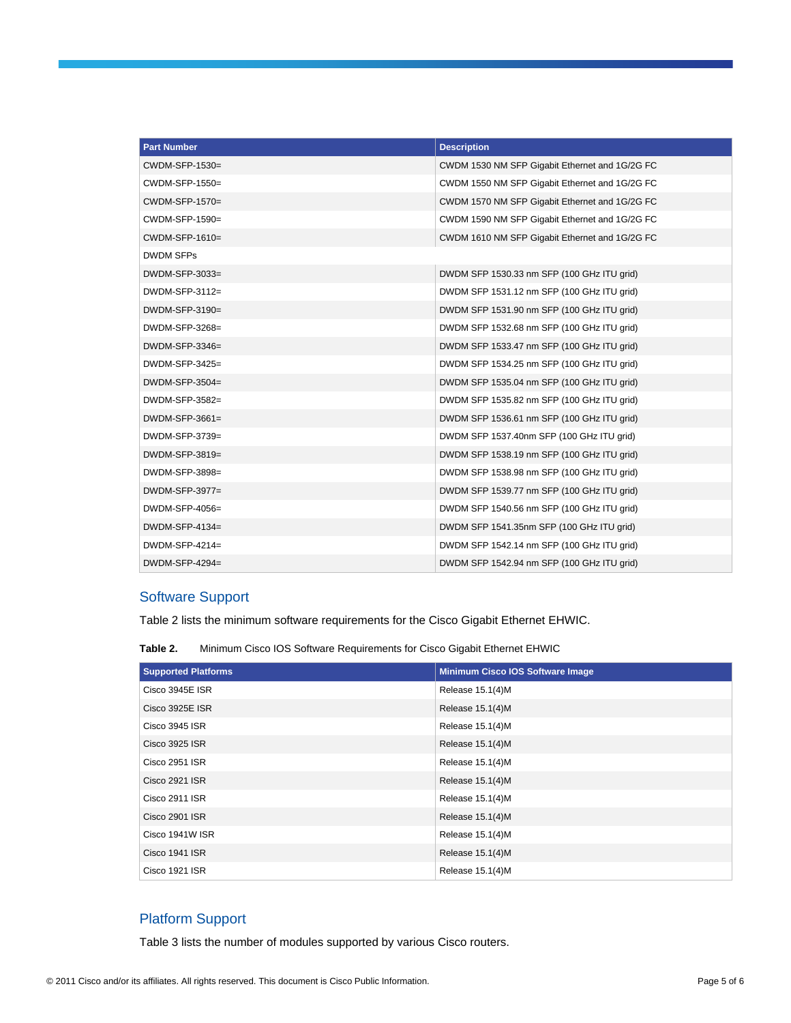| <b>Part Number</b> | <b>Description</b>                             |
|--------------------|------------------------------------------------|
| CWDM-SFP-1530=     | CWDM 1530 NM SFP Gigabit Ethernet and 1G/2G FC |
| CWDM-SFP-1550=     | CWDM 1550 NM SFP Gigabit Ethernet and 1G/2G FC |
| CWDM-SFP-1570=     | CWDM 1570 NM SFP Gigabit Ethernet and 1G/2G FC |
| CWDM-SFP-1590=     | CWDM 1590 NM SFP Gigabit Ethernet and 1G/2G FC |
| $CWDM-SFP-1610=$   | CWDM 1610 NM SFP Gigabit Ethernet and 1G/2G FC |
| <b>DWDM SFPs</b>   |                                                |
| DWDM-SFP-3033=     | DWDM SFP 1530.33 nm SFP (100 GHz ITU grid)     |
| DWDM-SFP-3112=     | DWDM SFP 1531.12 nm SFP (100 GHz ITU grid)     |
| DWDM-SFP-3190=     | DWDM SFP 1531.90 nm SFP (100 GHz ITU grid)     |
| DWDM-SFP-3268=     | DWDM SFP 1532.68 nm SFP (100 GHz ITU grid)     |
| $DWDM-SFP-3346=$   | DWDM SFP 1533.47 nm SFP (100 GHz ITU grid)     |
| $DWDM-SFP-3425=$   | DWDM SFP 1534.25 nm SFP (100 GHz ITU grid)     |
| $DWDM-SFP-3504=$   | DWDM SFP 1535.04 nm SFP (100 GHz ITU grid)     |
| $DWDM-SFP-3582=$   | DWDM SFP 1535.82 nm SFP (100 GHz ITU grid)     |
| $DWDM-SFP-3661=$   | DWDM SFP 1536.61 nm SFP (100 GHz ITU grid)     |
| DWDM-SFP-3739=     | DWDM SFP 1537.40nm SFP (100 GHz ITU grid)      |
| $DWDM-SFP-3819=$   | DWDM SFP 1538.19 nm SFP (100 GHz ITU grid)     |
| DWDM-SFP-3898=     | DWDM SFP 1538.98 nm SFP (100 GHz ITU grid)     |
| $DWDM-SFP-3977=$   | DWDM SFP 1539.77 nm SFP (100 GHz ITU grid)     |
| $DWDM-SFP-4056=$   | DWDM SFP 1540.56 nm SFP (100 GHz ITU grid)     |
| $DWDM-SFP-4134=$   | DWDM SFP 1541.35nm SFP (100 GHz ITU grid)      |
| $DWDM-SFP-4214=$   | DWDM SFP 1542.14 nm SFP (100 GHz ITU grid)     |
| $DWDM-SFP-4294=$   | DWDM SFP 1542.94 nm SFP (100 GHz ITU grid)     |

# Software Support

Table 2 lists the minimum software requirements for the Cisco Gigabit Ethernet EHWIC.

**Table 2.** Minimum Cisco IOS Software Requirements for Cisco Gigabit Ethernet EHWIC

| <b>Supported Platforms</b> | Minimum Cisco IOS Software Image |
|----------------------------|----------------------------------|
| Cisco 3945E ISR            | Release 15.1(4)M                 |
| Cisco 3925E ISR            | Release 15.1(4)M                 |
| Cisco 3945 ISR             | Release 15.1(4)M                 |
| Cisco 3925 ISR             | Release 15.1(4)M                 |
| Cisco 2951 ISR             | Release 15.1(4)M                 |
| Cisco 2921 ISR             | Release 15.1(4)M                 |
| Cisco 2911 ISR             | Release 15.1(4)M                 |
| Cisco 2901 ISR             | Release 15.1(4)M                 |
| Cisco 1941W ISR            | Release 15.1(4)M                 |
| Cisco 1941 ISR             | Release 15.1(4)M                 |
| Cisco 1921 ISR             | Release 15.1(4)M                 |

# Platform Support

Table 3 lists the number of modules supported by various Cisco routers.